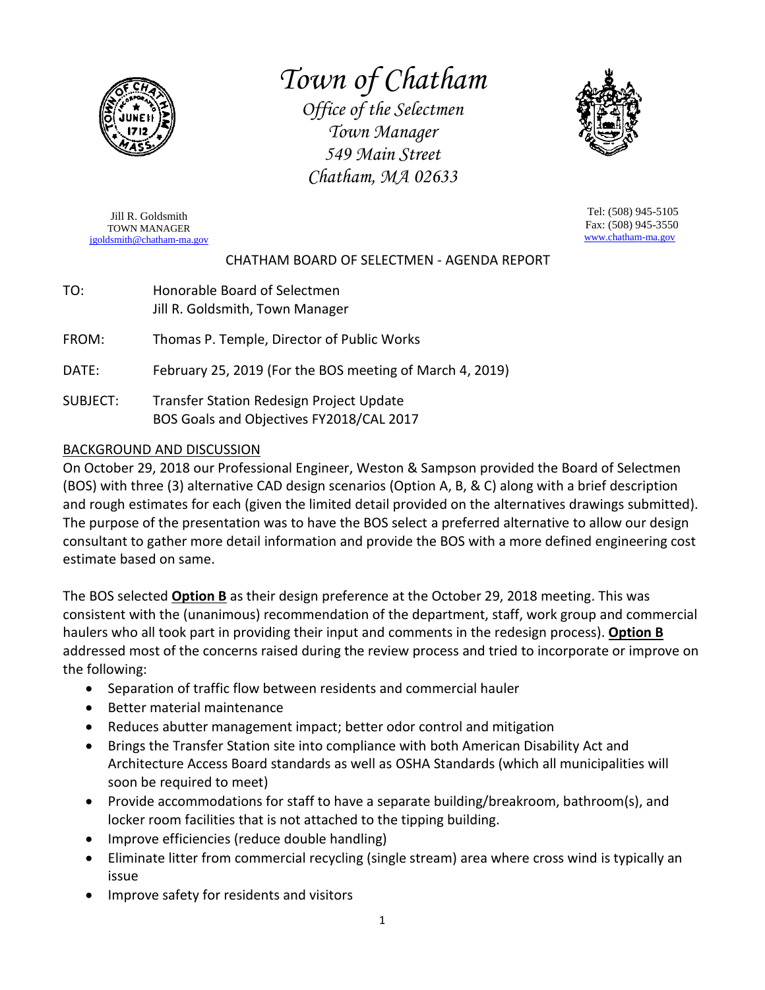

# *Town of Chatham*

*Office of the Selectmen Town Manager 549 Main Street Chatham, MA 02633*



Jill R. Goldsmith TOWN MANAGER [jgoldsmith@chatham-ma.gov](mailto:jgoldsmith@chatham-ma.gov)

Tel: (508) 945-5105 Fax: (508) 945-3550 [www.chatham-ma.gov](http://www.chatham-ma.gov/)

### CHATHAM BOARD OF SELECTMEN - AGENDA REPORT

TO: Honorable Board of Selectmen Jill R. Goldsmith, Town Manager

FROM: Thomas P. Temple, Director of Public Works

DATE: February 25, 2019 (For the BOS meeting of March 4, 2019)

SUBJECT: Transfer Station Redesign Project Update BOS Goals and Objectives FY2018/CAL 2017

### BACKGROUND AND DISCUSSION

On October 29, 2018 our Professional Engineer, Weston & Sampson provided the Board of Selectmen (BOS) with three (3) alternative CAD design scenarios (Option A, B, & C) along with a brief description and rough estimates for each (given the limited detail provided on the alternatives drawings submitted). The purpose of the presentation was to have the BOS select a preferred alternative to allow our design consultant to gather more detail information and provide the BOS with a more defined engineering cost estimate based on same.

The BOS selected **Option B** as their design preference at the October 29, 2018 meeting. This was consistent with the (unanimous) recommendation of the department, staff, work group and commercial haulers who all took part in providing their input and comments in the redesign process). **Option B** addressed most of the concerns raised during the review process and tried to incorporate or improve on the following:

- Separation of traffic flow between residents and commercial hauler
- Better material maintenance
- Reduces abutter management impact; better odor control and mitigation
- Brings the Transfer Station site into compliance with both American Disability Act and Architecture Access Board standards as well as OSHA Standards (which all municipalities will soon be required to meet)
- Provide accommodations for staff to have a separate building/breakroom, bathroom(s), and locker room facilities that is not attached to the tipping building.
- Improve efficiencies (reduce double handling)
- Eliminate litter from commercial recycling (single stream) area where cross wind is typically an issue
- Improve safety for residents and visitors